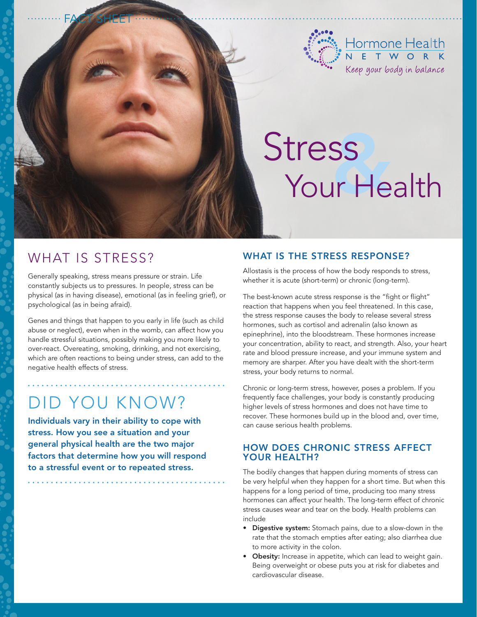

# Stress<br>Your Health

## WHAT IS STRESS?

FACT SHEET

Generally speaking, stress means pressure or strain. Life constantly subjects us to pressures. In people, stress can be physical (as in having disease), emotional (as in feeling grief), or psychological (as in being afraid).

Genes and things that happen to you early in life (such as child abuse or neglect), even when in the womb, can affect how you handle stressful situations, possibly making you more likely to over-react. Overeating, smoking, drinking, and not exercising, which are often reactions to being under stress, can add to the negative health effects of stress.

# Did you know?

Individuals vary in their ability to cope with stress. How you see a situation and your general physical health are the two major factors that determine how you will respond to a stressful event or to repeated stress.

#### WHAT IS THE STRESS RESPONSE?

Allostasis is the process of how the body responds to stress, whether it is acute (short-term) or chronic (long-term).

The best-known acute stress response is the "fight or flight" reaction that happens when you feel threatened. In this case, the stress response causes the body to release several stress hormones, such as cortisol and adrenalin (also known as epinephrine), into the bloodstream. These hormones increase your concentration, ability to react, and strength. Also, your heart rate and blood pressure increase, and your immune system and memory are sharper. After you have dealt with the short-term stress, your body returns to normal.

Chronic or long-term stress, however, poses a problem. If you frequently face challenges, your body is constantly producing higher levels of stress hormones and does not have time to recover. These hormones build up in the blood and, over time, can cause serious health problems.

#### How does chronic stress affect YOUR HEALTH?

The bodily changes that happen during moments of stress can be very helpful when they happen for a short time. But when this happens for a long period of time, producing too many stress hormones can affect your health. The long-term effect of chronic stress causes wear and tear on the body. Health problems can include

- Digestive system: Stomach pains, due to a slow-down in the rate that the stomach empties after eating; also diarrhea due to more activity in the colon.
- Obesity: Increase in appetite, which can lead to weight gain. Being overweight or obese puts you at risk for diabetes and cardiovascular disease.